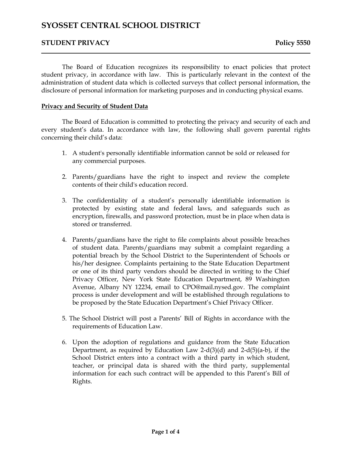# **STUDENT PRIVACY Policy 5550**

The Board of Education recognizes its responsibility to enact policies that protect student privacy, in accordance with law. This is particularly relevant in the context of the administration of student data which is collected surveys that collect personal information, the disclosure of personal information for marketing purposes and in conducting physical exams.

## **Privacy and Security of Student Data**

The Board of Education is committed to protecting the privacy and security of each and every student's data. In accordance with law, the following shall govern parental rights concerning their child's data:

- 1. A student's personally identifiable information cannot be sold or released for any commercial purposes.
- 2. Parents/guardians have the right to inspect and review the complete contents of their child's education record.
- 3. The confidentiality of a student's personally identifiable information is protected by existing state and federal laws, and safeguards such as encryption, firewalls, and password protection, must be in place when data is stored or transferred.
- 4. Parents/guardians have the right to file complaints about possible breaches of student data. Parents/guardians may submit a complaint regarding a potential breach by the School District to the Superintendent of Schools or his/her designee. Complaints pertaining to the State Education Department or one of its third party vendors should be directed in writing to the Chief Privacy Officer, New York State Education Department, 89 Washington Avenue, Albany NY 12234, email to CPO@mail.nysed.gov. The complaint process is under development and will be established through regulations to be proposed by the State Education Department's Chief Privacy Officer.
- 5. The School District will post a Parents' Bill of Rights in accordance with the requirements of Education Law.
- 6. Upon the adoption of regulations and guidance from the State Education Department, as required by Education Law 2-d(3)(d) and 2-d(5)(a-b), if the School District enters into a contract with a third party in which student, teacher, or principal data is shared with the third party, supplemental information for each such contract will be appended to this Parent's Bill of Rights.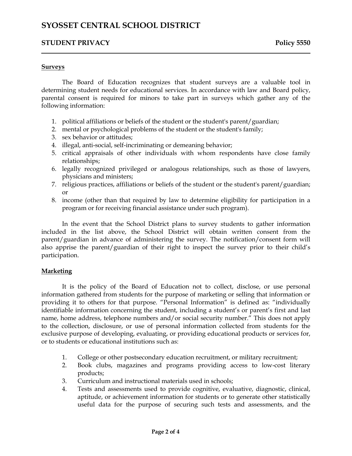## **STUDENT PRIVACY Policy 5550**

### **Surveys**

The Board of Education recognizes that student surveys are a valuable tool in determining student needs for educational services. In accordance with law and Board policy, parental consent is required for minors to take part in surveys which gather any of the following information:

- 1. political affiliations or beliefs of the student or the student's parent/guardian;
- 2. mental or psychological problems of the student or the student's family;
- 3. sex behavior or attitudes;
- 4. illegal, anti-social, self-incriminating or demeaning behavior;
- 5. critical appraisals of other individuals with whom respondents have close family relationships;
- 6. legally recognized privileged or analogous relationships, such as those of lawyers, physicians and ministers;
- 7. religious practices, affiliations or beliefs of the student or the student's parent/guardian; or
- 8. income (other than that required by law to determine eligibility for participation in a program or for receiving financial assistance under such program).

In the event that the School District plans to survey students to gather information included in the list above, the School District will obtain written consent from the parent/guardian in advance of administering the survey. The notification/consent form will also apprise the parent/guardian of their right to inspect the survey prior to their child's participation.

### **Marketing**

It is the policy of the Board of Education not to collect, disclose, or use personal information gathered from students for the purpose of marketing or selling that information or providing it to others for that purpose. "Personal Information" is defined as: "individually identifiable information concerning the student, including a student's or parent's first and last name, home address, telephone numbers and/or social security number." This does not apply to the collection, disclosure, or use of personal information collected from students for the exclusive purpose of developing, evaluating, or providing educational products or services for, or to students or educational institutions such as:

- 1. College or other postsecondary education recruitment, or military recruitment;
- 2. Book clubs, magazines and programs providing access to low-cost literary products;
- 3. Curriculum and instructional materials used in schools;
- 4. Tests and assessments used to provide cognitive, evaluative, diagnostic, clinical, aptitude, or achievement information for students or to generate other statistically useful data for the purpose of securing such tests and assessments, and the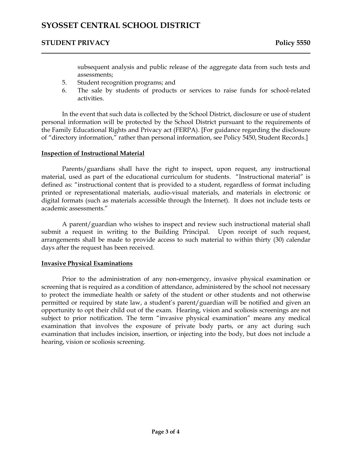# **STUDENT PRIVACY Policy 5550**

subsequent analysis and public release of the aggregate data from such tests and assessments;

- 5. Student recognition programs; and
- 6. The sale by students of products or services to raise funds for school-related activities.

In the event that such data is collected by the School District, disclosure or use of student personal information will be protected by the School District pursuant to the requirements of the Family Educational Rights and Privacy act (FERPA). [For guidance regarding the disclosure of "directory information," rather than personal information, see Policy 5450, Student Records.]

## **Inspection of Instructional Material**

Parents/guardians shall have the right to inspect, upon request, any instructional material, used as part of the educational curriculum for students. "Instructional material" is defined as: "instructional content that is provided to a student, regardless of format including printed or representational materials, audio-visual materials, and materials in electronic or digital formats (such as materials accessible through the Internet). It does not include tests or academic assessments."

A parent/guardian who wishes to inspect and review such instructional material shall submit a request in writing to the Building Principal. Upon receipt of such request, arrangements shall be made to provide access to such material to within thirty (30) calendar days after the request has been received.

### **Invasive Physical Examinations**

Prior to the administration of any non-emergency, invasive physical examination or screening that is required as a condition of attendance, administered by the school not necessary to protect the immediate health or safety of the student or other students and not otherwise permitted or required by state law, a student's parent/guardian will be notified and given an opportunity to opt their child out of the exam. Hearing, vision and scoliosis screenings are not subject to prior notification. The term "invasive physical examination" means any medical examination that involves the exposure of private body parts, or any act during such examination that includes incision, insertion, or injecting into the body, but does not include a hearing, vision or scoliosis screening.